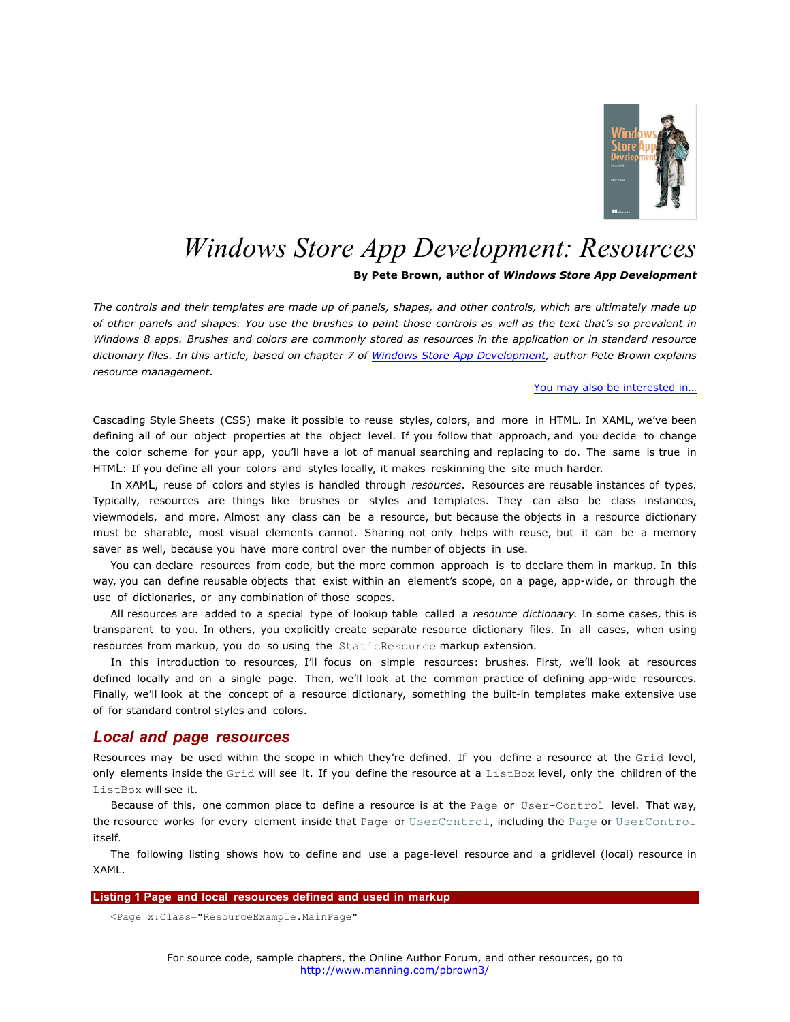

# *Windows Store App Development: Resources*

# **By Pete Brown, author of** *Windows Store App Development*

*The controls and their templates are made up of panels, shapes, and other controls, which are ultimately made up of other panels and shapes. You use the brushes to paint those controls as well as the text that's so prevalent in Windows 8 apps. Brushes and colors are commonly stored as resources in the application or in standard resource dictionary files. In this article, based on chapter 7 of Windows Store App Development, author Pete Brown explains resource management.*

#### You may also be interested in…

Cascading Style Sheets (CSS) make it possible to reuse styles, colors, and more in HTML. In XAML, we've been defining all of our object properties at the object level. If you follow that approach, and you decide to change the color scheme for your app, you'll have a lot of manual searching and replacing to do. The same is true in HTML: If you define all your colors and styles locally, it makes reskinning the site much harder.

In XAML, reuse of colors and styles is handled through *resources*. Resources are reusable instances of types. Typically, resources are things like brushes or styles and templates. They can also be class instances, viewmodels, and more. Almost any class can be a resource, but because the objects in a resource dictionary must be sharable, most visual elements cannot. Sharing not only helps with reuse, but it can be a memory saver as well, because you have more control over the number of objects in use.

You can declare resources from code, but the more common approach is to declare them in markup. In this way, you can define reusable objects that exist within an element's scope, on a page, app-wide, or through the use of dictionaries, or any combination of those scopes.

All resources are added to a special type of lookup table called a *resource dictionary*. In some cases, this is transparent to you. In others, you explicitly create separate resource dictionary files. In all cases, when using resources from markup, you do so using the StaticResource markup extension.

In this introduction to resources, I'll focus on simple resources: brushes. First, we'll look at resources defined locally and on a single page. Then, we'll look at the common practice of defining app-wide resources. Finally, we'll look at the concept of a resource dictionary, something the built-in templates make extensive use of for standard control styles and colors.

# *Local and page resources*

Resources may be used within the scope in which they're defined. If you define a resource at the Grid level, only elements inside the Grid will see it. If you define the resource at a ListBox level, only the children of the ListBox will see it.

Because of this, one common place to define a resource is at the Page or User-Control level. That way, the resource works for every element inside that Page or UserControl, including the Page or UserControl itself.

The following listing shows how to define and use a page-level resource and a gridlevel (local) resource in XAML.

#### **Listing 1 Page and local resources defined and used in markup**

<Page x:Class="ResourceExample.MainPage"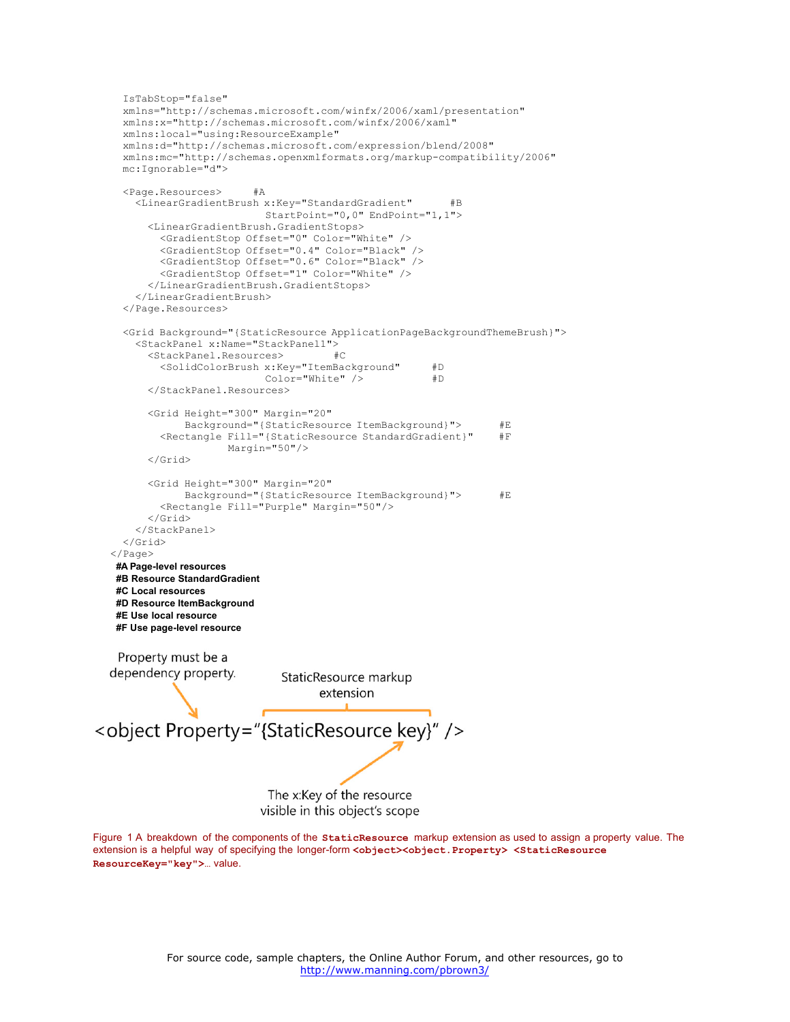```
 IsTabStop="false"
     xmlns="http://schemas.microsoft.com/winfx/2006/xaml/presentation" 
     xmlns:x="http://schemas.microsoft.com/winfx/2006/xaml" 
     xmlns:local="using:ResourceExample" 
     xmlns:d="http://schemas.microsoft.com/expression/blend/2008" 
     xmlns:mc="http://schemas.openxmlformats.org/markup-compatibility/2006"
     mc:Ignorable="d">
     <Page.Resources> #A
       <LinearGradientBrush x:Key="StandardGradient" #B
                            StartPoint="0,0" EndPoint="1,1">
         <LinearGradientBrush.GradientStops>
   <GradientStop Offset="0" Color="White" />
   <GradientStop Offset="0.4" Color="Black" />
           <GradientStop Offset="0.6" Color="Black" />
           <GradientStop Offset="1" Color="White" />
         </LinearGradientBrush.GradientStops>
       </LinearGradientBrush>
     </Page.Resources>
     <Grid Background="{StaticResource ApplicationPageBackgroundThemeBrush}">
       <StackPanel x:Name="StackPanel1">
         <StackPanel.Resources> #C
           <SolidColorBrush x:Key="ItemBackground" #D
                            Color="White" /> #D
         </StackPanel.Resources>
         <Grid Height="300" Margin="20" 
               Background="{StaticResource ItemBackground}"> #E
           <Rectangle Fill="{StaticResource StandardGradient}" #F
                      Margin="50"/>
        \langle/Grid\rangle <Grid Height="300" Margin="20" 
              Background="{StaticResource ItemBackground}"> #E
           <Rectangle Fill="Purple" Margin="50"/>
         </Grid>
       </StackPanel>
     </Grid>
  </Page>
   #A Page-level resources
   #B Resource StandardGradient
   #C Local resources
   #D Resource ItemBackground
   #E Use local resource
   #F Use page-level resource
   Property must be a
  dependency property.
                              StaticResource markup
                                    extension
<object Property="{StaticResource key}" />
                            The x:Key of the resource
                           visible in this object's scope
```
Figure 1 A breakdown of the components of the **StaticResource** markup extension as used to assign a property value. The extension is a helpful way of specifying the longer-form **<object><object.Property> <StaticResource ResourceKey="key">…** value.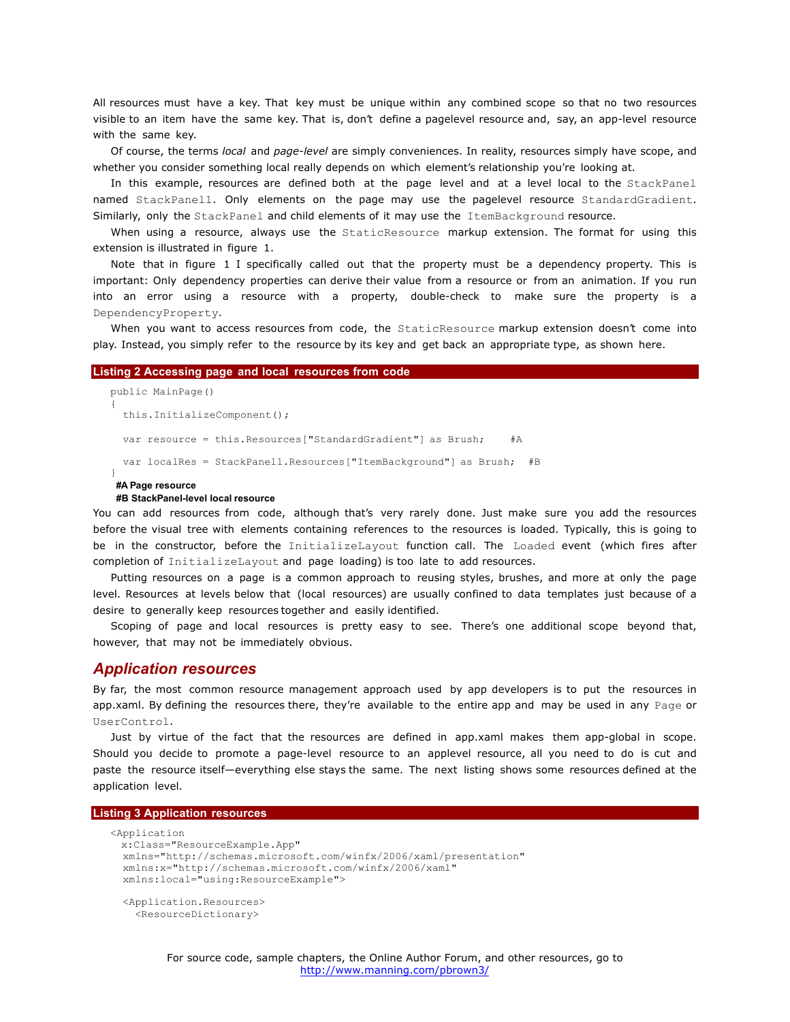All resources must have a key. That key must be unique within any combined scope so that no two resources visible to an item have the same key. That is, don't define a pagelevel resource and, say, an app-level resource with the same key.

Of course, the terms *local* and *page-level* are simply conveniences. In reality, resources simply have scope, and whether you consider something local really depends on which element's relationship you're looking at.

In this example, resources are defined both at the page level and at a level local to the StackPanel named StackPanel1. Only elements on the page may use the pagelevel resource StandardGradient. Similarly, only the StackPanel and child elements of it may use the ItemBackground resource.

When using a resource, always use the StaticResource markup extension. The format for using this extension is illustrated in figure 1.

Note that in figure 1 I specifically called out that the property must be a dependency property. This is important: Only dependency properties can derive their value from a resource or from an animation. If you run into an error using a resource with a property, double-check to make sure the property is a DependencyProperty.

When you want to access resources from code, the StaticResource markup extension doesn't come into play. Instead, you simply refer to the resource by its key and get back an appropriate type, as shown here.

#### **Listing 2 Accessing page and local resources from code**

```
public MainPage()
{
   this.InitializeComponent();
   var resource = this.Resources["StandardGradient"] as Brush; #A
   var localRes = StackPanel1.Resources["ItemBackground"] as Brush; #B
}
 #A Page resource
 #B StackPanel-level local resource
```
You can add resources from code, although that's very rarely done. Just make sure you add the resources before the visual tree with elements containing references to the resources is loaded. Typically, this is going to be in the constructor, before the InitializeLayout function call. The Loaded event (which fires after completion of InitializeLayout and page loading) is too late to add resources.

Putting resources on a page is a common approach to reusing styles, brushes, and more at only the page level. Resources at levels below that (local resources) are usually confined to data templates just because of a desire to generally keep resources together and easily identified.

Scoping of page and local resources is pretty easy to see. There's one additional scope beyond that, however, that may not be immediately obvious.

# *Application resources*

By far, the most common resource management approach used by app developers is to put the resources in app.xaml. By defining the resources there, they're available to the entire app and may be used in any Page or UserControl.

Just by virtue of the fact that the resources are defined in app.xaml makes them app-global in scope. Should you decide to promote a page-level resource to an applevel resource, all you need to do is cut and paste the resource itself—everything else stays the same. The next listing shows some resources defined at the application level.

## **Listing 3 Application resources**

```
<Application
  x:Class="ResourceExample.App" 
  xmlns="http://schemas.microsoft.com/winfx/2006/xaml/presentation" 
   xmlns:x="http://schemas.microsoft.com/winfx/2006/xaml"
  xmlns:local="using:ResourceExample">
   <Application.Resources>
     <ResourceDictionary>
```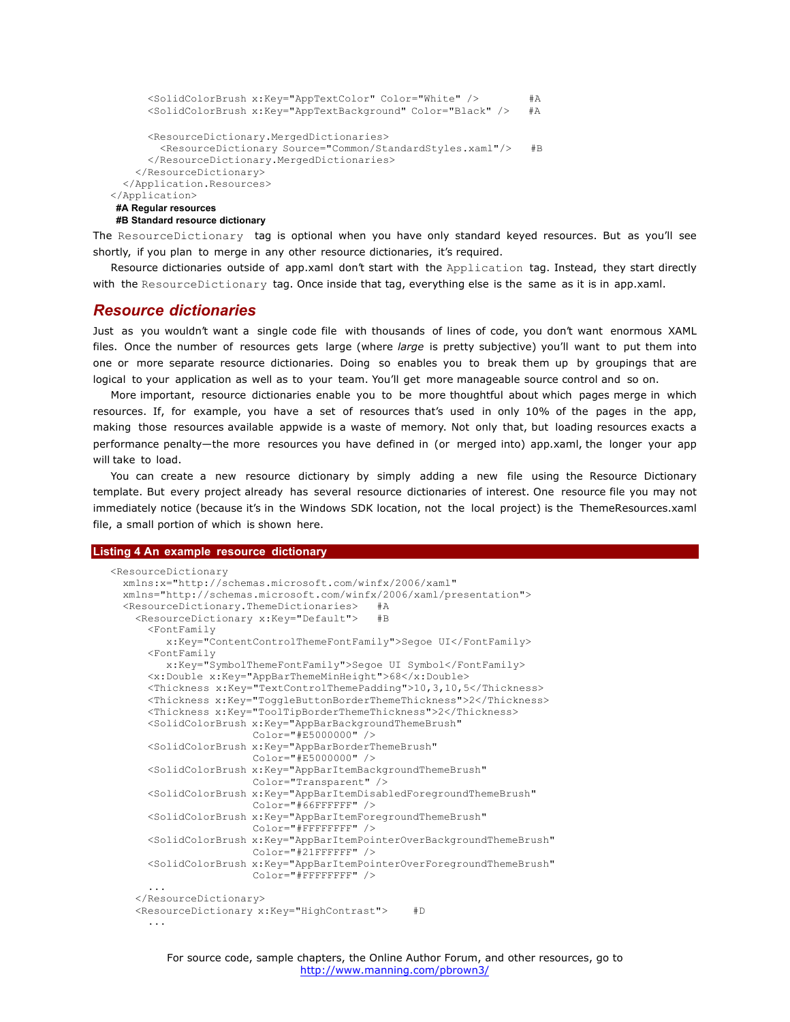```
 <SolidColorBrush x:Key="AppTextColor" Color="White" /> #A
      <SolidColorBrush x:Key="AppTextBackground" Color="Black" /> #A
      <ResourceDictionary.MergedDictionaries>
        <ResourceDictionary Source="Common/StandardStyles.xaml"/> #B
       </ResourceDictionary.MergedDictionaries>
    </ResourceDictionary>
  </Application.Resources>
</Application>
#A Regular resources
```
#### **#B Standard resource dictionary**

The ResourceDictionary tag is optional when you have only standard keyed resources. But as you'll see shortly, if you plan to merge in any other resource dictionaries, it's required.

Resource dictionaries outside of app.xaml don't start with the Application tag. Instead, they start directly with the ResourceDictionary tag. Once inside that tag, everything else is the same as it is in app.xaml.

## *Resource dictionaries*

Just as you wouldn't want a single code file with thousands of lines of code, you don't want enormous XAML files. Once the number of resources gets large (where *large* is pretty subjective) you'll want to put them into one or more separate resource dictionaries. Doing so enables you to break them up by groupings that are logical to your application as well as to your team. You'll get more manageable source control and so on.

More important, resource dictionaries enable you to be more thoughtful about which pages merge in which resources. If, for example, you have a set of resources that's used in only 10% of the pages in the app, making those resources available appwide is a waste of memory. Not only that, but loading resources exacts a performance penalty—the more resources you have defined in (or merged into) app.xaml, the longer your app will take to load.

You can create a new resource dictionary by simply adding a new file using the Resource Dictionary template. But every project already has several resource dictionaries of interest. One resource file you may not immediately notice (because it's in the Windows SDK location, not the local project) is the ThemeResources.xaml file, a small portion of which is shown here.

## **Listing 4 An example resource dictionary**

```
<ResourceDictionary 
  xmlns:x="http://schemas.microsoft.com/winfx/2006/xaml" 
  xmlns="http://schemas.microsoft.com/winfx/2006/xaml/presentation">
  <ResourceDictionary.ThemeDictionaries> #A
     <ResourceDictionary x:Key="Default"> #B
      <FontFamily
         x:Key="ContentControlThemeFontFamily">Segoe UI</FontFamily>
       <FontFamily
         x:Key="SymbolThemeFontFamily">Segoe UI Symbol</FontFamily>
       <x:Double x:Key="AppBarThemeMinHeight">68</x:Double>
       <Thickness x:Key="TextControlThemePadding">10,3,10,5</Thickness>
       <Thickness x:Key="ToggleButtonBorderThemeThickness">2</Thickness>
       <Thickness x:Key="ToolTipBorderThemeThickness">2</Thickness>
      <SolidColorBrush x:Key="AppBarBackgroundThemeBrush" 
                        Color="#E5000000" />
       <SolidColorBrush x:Key="AppBarBorderThemeBrush" 
                        Color="#E5000000" />
       <SolidColorBrush x:Key="AppBarItemBackgroundThemeBrush"
                        Color="Transparent" />
       <SolidColorBrush x:Key="AppBarItemDisabledForegroundThemeBrush" 
                        Color="#66FFFFFF" />
       <SolidColorBrush x:Key="AppBarItemForegroundThemeBrush" 
                        Color="#FFFFFFFF" />
       <SolidColorBrush x:Key="AppBarItemPointerOverBackgroundThemeBrush"
                        Color="#21FFFFFF" />
       <SolidColorBrush x:Key="AppBarItemPointerOverForegroundThemeBrush" 
                        Color="#FFFFFFFF" />
 ...
     </ResourceDictionary>
     <ResourceDictionary x:Key="HighContrast"> #D
       ...
```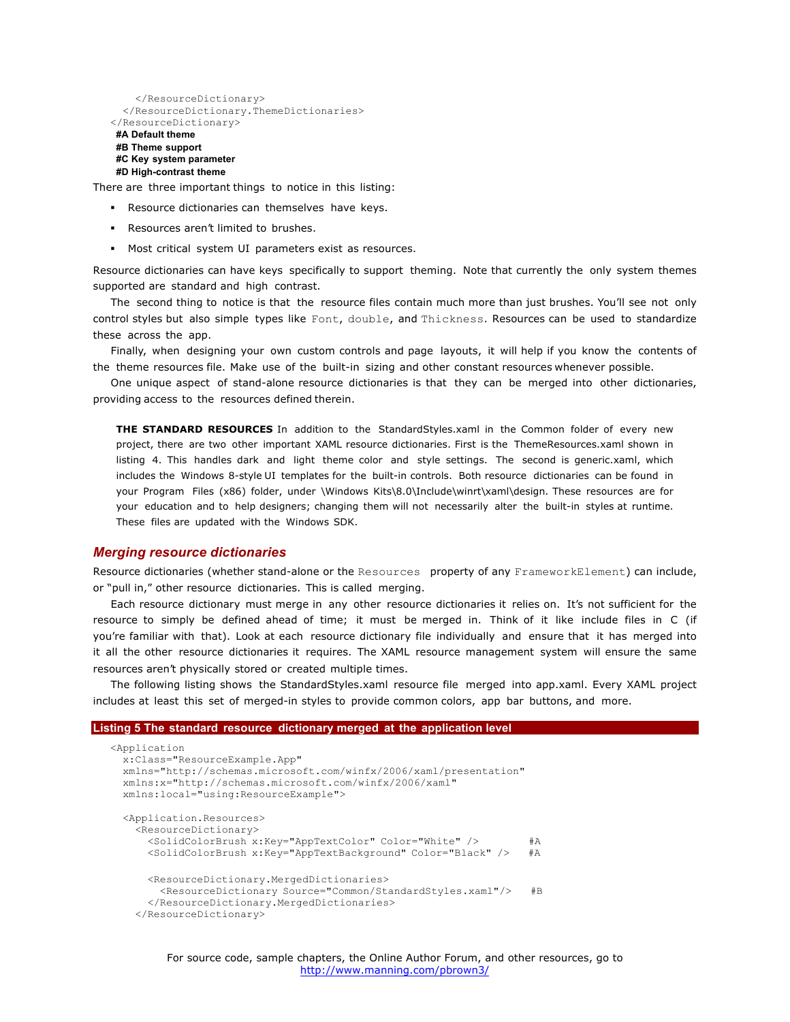```
 </ResourceDictionary>
   </ResourceDictionary.ThemeDictionaries>
</ResourceDictionary>
#A Default theme
#B Theme support
#C Key system parameter
#D High-contrast theme
```
There are three important things to notice in this listing:

- § Resource dictionaries can themselves have keys.
- § Resources aren't limited to brushes.
- § Most critical system UI parameters exist as resources.

Resource dictionaries can have keys specifically to support theming. Note that currently the only system themes supported are standard and high contrast.

The second thing to notice is that the resource files contain much more than just brushes. You'll see not only control styles but also simple types like Font, double, and Thickness. Resources can be used to standardize these across the app.

Finally, when designing your own custom controls and page layouts, it will help if you know the contents of the theme resources file. Make use of the built-in sizing and other constant resources whenever possible.

One unique aspect of stand-alone resource dictionaries is that they can be merged into other dictionaries, providing access to the resources defined therein.

**THE STANDARD RESOURCES** In addition to the StandardStyles.xaml in the Common folder of every new project, there are two other important XAML resource dictionaries. First is the ThemeResources.xaml shown in listing 4. This handles dark and light theme color and style settings. The second is generic.xaml, which includes the Windows 8-style UI templates for the built-in controls. Both resource dictionaries can be found in your Program Files (x86) folder, under \Windows Kits\8.0\Include\winrt\xaml\design. These resources are for your education and to help designers; changing them will not necessarily alter the built-in styles at runtime. These files are updated with the Windows SDK.

#### *Merging resource dictionaries*

Resource dictionaries (whether stand-alone or the Resources property of any FrameworkElement) can include, or "pull in," other resource dictionaries. This is called merging.

Each resource dictionary must merge in any other resource dictionaries it relies on. It's not sufficient for the resource to simply be defined ahead of time; it must be merged in. Think of it like include files in C (if you're familiar with that). Look at each resource dictionary file individually and ensure that it has merged into it all the other resource dictionaries it requires. The XAML resource management system will ensure the same resources aren't physically stored or created multiple times.

The following listing shows the StandardStyles.xaml resource file merged into app.xaml. Every XAML project includes at least this set of merged-in styles to provide common colors, app bar buttons, and more.

#### **Listing 5 The standard resource dictionary merged at the application level**

```
<Application 
  x:Class="ResourceExample.App" 
  xmlns="http://schemas.microsoft.com/winfx/2006/xaml/presentation"
  xmlns:x="http://schemas.microsoft.com/winfx/2006/xaml" 
  xmlns:local="using:ResourceExample">
  <Application.Resources>
    <ResourceDictionary>
       <SolidColorBrush x:Key="AppTextColor" Color="White" /> #A
      <SolidColorBrush x:Key="AppTextBackground" Color="Black" /> #A
       <ResourceDictionary.MergedDictionaries>
         <ResourceDictionary Source="Common/StandardStyles.xaml"/> #B
       </ResourceDictionary.MergedDictionaries>
    </ResourceDictionary>
```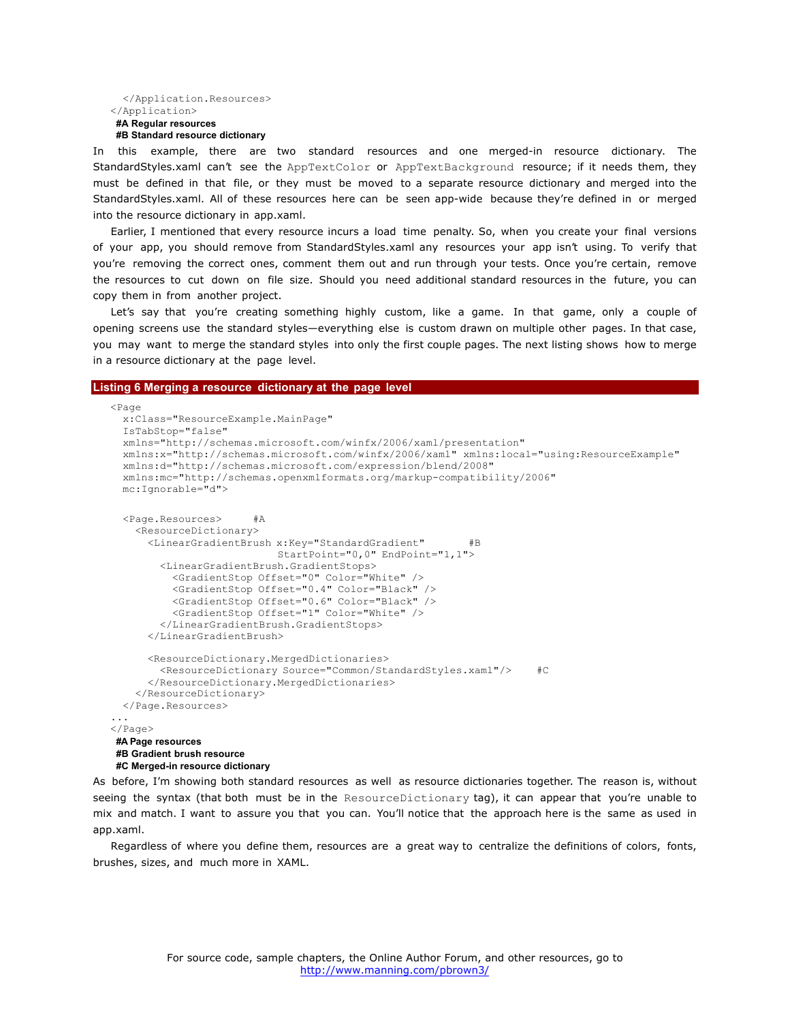#### </Application.Resources> </Application> **#A Regular resources #B Standard resource dictionary**

In this example, there are two standard resources and one merged-in resource dictionary. The StandardStyles.xaml can't see the AppTextColor or AppTextBackground resource; if it needs them, they must be defined in that file, or they must be moved to a separate resource dictionary and merged into the StandardStyles.xaml. All of these resources here can be seen app-wide because they're defined in or merged into the resource dictionary in app.xaml.

Earlier, I mentioned that every resource incurs a load time penalty. So, when you create your final versions of your app, you should remove from StandardStyles.xaml any resources your app isn't using. To verify that you're removing the correct ones, comment them out and run through your tests. Once you're certain, remove the resources to cut down on file size. Should you need additional standard resources in the future, you can copy them in from another project.

Let's say that you're creating something highly custom, like a game. In that game, only a couple of opening screens use the standard styles—everything else is custom drawn on multiple other pages. In that case, you may want to merge the standard styles into only the first couple pages. The next listing shows how to merge in a resource dictionary at the page level.

#### **Listing 6 Merging a resource dictionary at the page level**

```
<Page
  x:Class="ResourceExample.MainPage" 
  IsTabStop="false"
  xmlns="http://schemas.microsoft.com/winfx/2006/xaml/presentation" 
  xmlns:x="http://schemas.microsoft.com/winfx/2006/xaml" xmlns:local="using:ResourceExample" 
  xmlns:d="http://schemas.microsoft.com/expression/blend/2008" 
  xmlns:mc="http://schemas.openxmlformats.org/markup-compatibility/2006" 
  mc:Ignorable="d">
  <Page.Resources> #A
     <ResourceDictionary>
       <LinearGradientBrush x:Key="StandardGradient" #B
                            StartPoint="0,0" EndPoint="1,1">
         <LinearGradientBrush.GradientStops>
           <GradientStop Offset="0" Color="White" />
           <GradientStop Offset="0.4" Color="Black" />
           <GradientStop Offset="0.6" Color="Black" />
           <GradientStop Offset="1" Color="White" />
         </LinearGradientBrush.GradientStops>
       </LinearGradientBrush>
       <ResourceDictionary.MergedDictionaries>
         <ResourceDictionary Source="Common/StandardStyles.xaml"/> #C
       </ResourceDictionary.MergedDictionaries>
     </ResourceDictionary>
  </Page.Resources>
...
</Page>
#A Page resources
#B Gradient brush resource
#C Merged-in resource dictionary
```
As before, I'm showing both standard resources as well as resource dictionaries together. The reason is, without seeing the syntax (that both must be in the ResourceDictionary tag), it can appear that you're unable to mix and match. I want to assure you that you can. You'll notice that the approach here is the same as used in app.xaml.

Regardless of where you define them, resources are a great way to centralize the definitions of colors, fonts, brushes, sizes, and much more in XAML.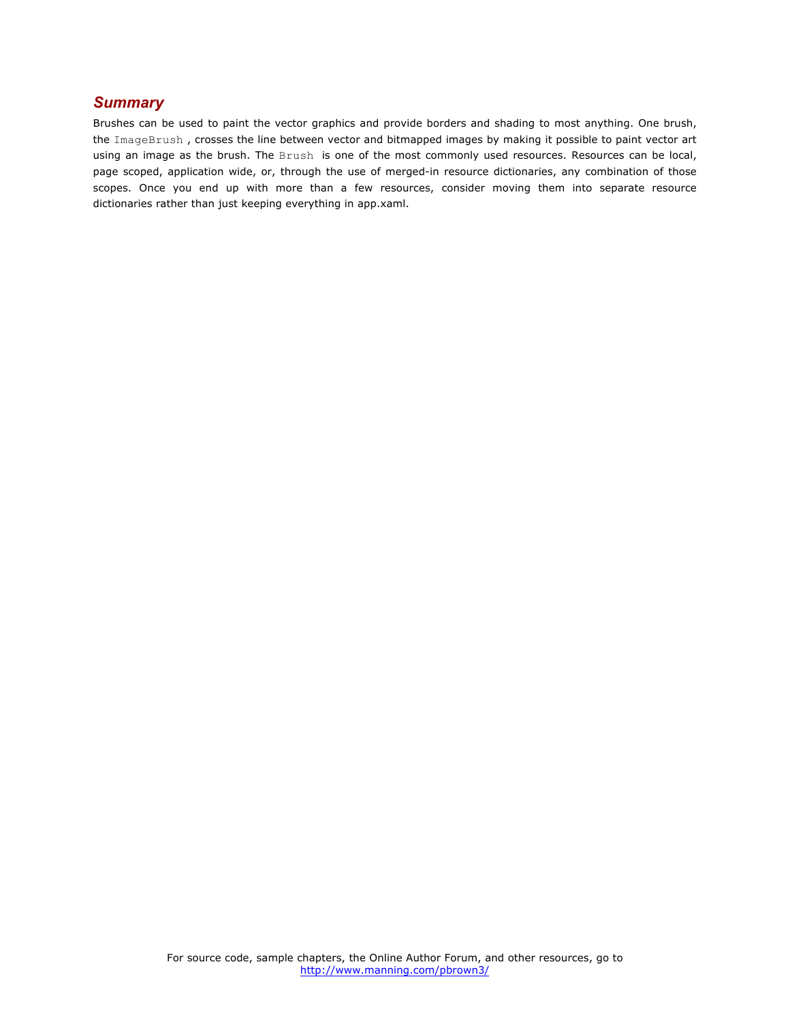# *Summary*

Brushes can be used to paint the vector graphics and provide borders and shading to most anything. One brush, the ImageBrush , crosses the line between vector and bitmapped images by making it possible to paint vector art using an image as the brush. The Brush is one of the most commonly used resources. Resources can be local, page scoped, application wide, or, through the use of merged-in resource dictionaries, any combination of those scopes. Once you end up with more than a few resources, consider moving them into separate resource dictionaries rather than just keeping everything in app.xaml.